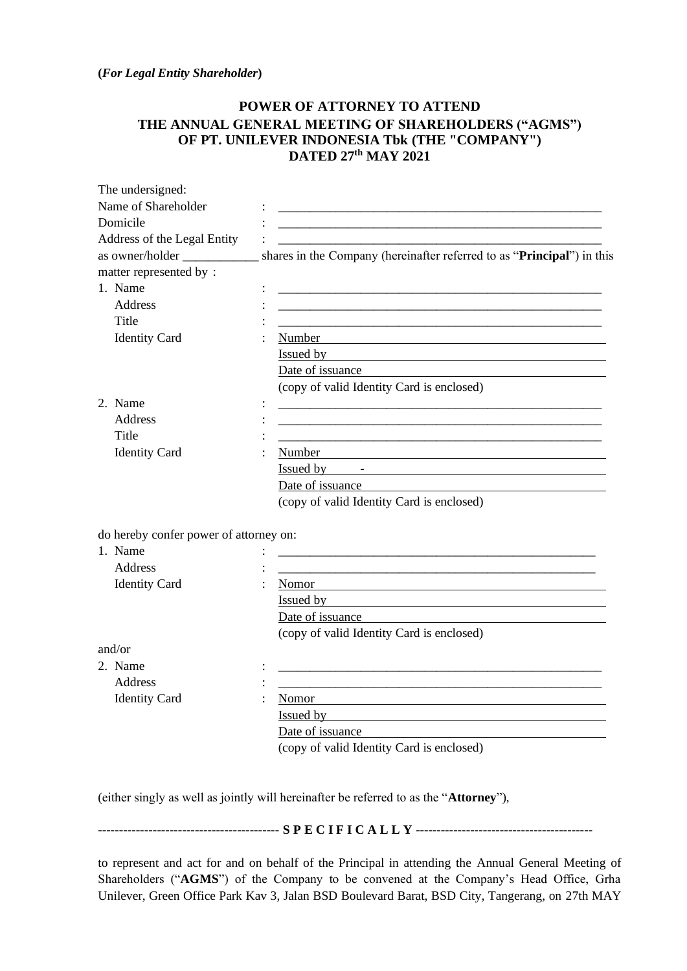**(***For Legal Entity Shareholder***)**

## **POWER OF ATTORNEY TO ATTEND THE ANNUAL GENERAL MEETING OF SHAREHOLDERS ("AGMS") OF PT. UNILEVER INDONESIA Tbk (THE "COMPANY") DATED 27 th MAY 2021**

| The undersigned:                       |                                                                                                                                                                                                                               |
|----------------------------------------|-------------------------------------------------------------------------------------------------------------------------------------------------------------------------------------------------------------------------------|
| Name of Shareholder                    |                                                                                                                                                                                                                               |
| Domicile                               | <u> 1989 - Johann Barn, mars an t-Amerikaansk politiker (* 1908)</u>                                                                                                                                                          |
| Address of the Legal Entity            |                                                                                                                                                                                                                               |
|                                        | shares in the Company (hereinafter referred to as "Principal") in this                                                                                                                                                        |
| matter represented by:                 |                                                                                                                                                                                                                               |
| 1. Name                                |                                                                                                                                                                                                                               |
| Address                                |                                                                                                                                                                                                                               |
| Title                                  | <u> 1989 - Johann Stoff, deutscher Stoff, der Stoff, der Stoff, der Stoff, der Stoff, der Stoff, der Stoff, der S</u>                                                                                                         |
| <b>Identity Card</b>                   |                                                                                                                                                                                                                               |
|                                        | Issued by the contract of the contract of the contract of the contract of the contract of the contract of the contract of the contract of the contract of the contract of the contract of the contract of the contract of the |
|                                        | Date of issuance                                                                                                                                                                                                              |
|                                        | (copy of valid Identity Card is enclosed)                                                                                                                                                                                     |
| 2. Name                                |                                                                                                                                                                                                                               |
| <b>Address</b>                         |                                                                                                                                                                                                                               |
| Title                                  |                                                                                                                                                                                                                               |
| <b>Identity Card</b>                   | Number                                                                                                                                                                                                                        |
|                                        | Issued by <u>Figure 2008</u>                                                                                                                                                                                                  |
|                                        | Date of issuance                                                                                                                                                                                                              |
|                                        | (copy of valid Identity Card is enclosed)                                                                                                                                                                                     |
| do hereby confer power of attorney on: |                                                                                                                                                                                                                               |
| 1. Name                                |                                                                                                                                                                                                                               |
| <b>Address</b>                         |                                                                                                                                                                                                                               |
| <b>Identity Card</b>                   | Nomor                                                                                                                                                                                                                         |
|                                        | Issued by the contract of the contract of the contract of the contract of the contract of the contract of the contract of the contract of the contract of the contract of the contract of the contract of the contract of the |
|                                        | Date of issuance                                                                                                                                                                                                              |
|                                        | (copy of valid Identity Card is enclosed)                                                                                                                                                                                     |
| and/or                                 |                                                                                                                                                                                                                               |
| 2. Name                                |                                                                                                                                                                                                                               |
| <b>Address</b>                         |                                                                                                                                                                                                                               |
| <b>Identity Card</b>                   | Nomor                                                                                                                                                                                                                         |
|                                        | Issued by                                                                                                                                                                                                                     |
|                                        | Date of issuance                                                                                                                                                                                                              |
|                                        | (copy of valid Identity Card is enclosed)                                                                                                                                                                                     |
|                                        |                                                                                                                                                                                                                               |

(either singly as well as jointly will hereinafter be referred to as the "**Attorney**"),

**------------------------------------------- S P E C I F I C A L L Y ------------------------------------------**

to represent and act for and on behalf of the Principal in attending the Annual General Meeting of Shareholders ("**AGMS**") of the Company to be convened at the Company's Head Office, Grha Unilever, Green Office Park Kav 3, Jalan BSD Boulevard Barat, BSD City, Tangerang, on 27th MAY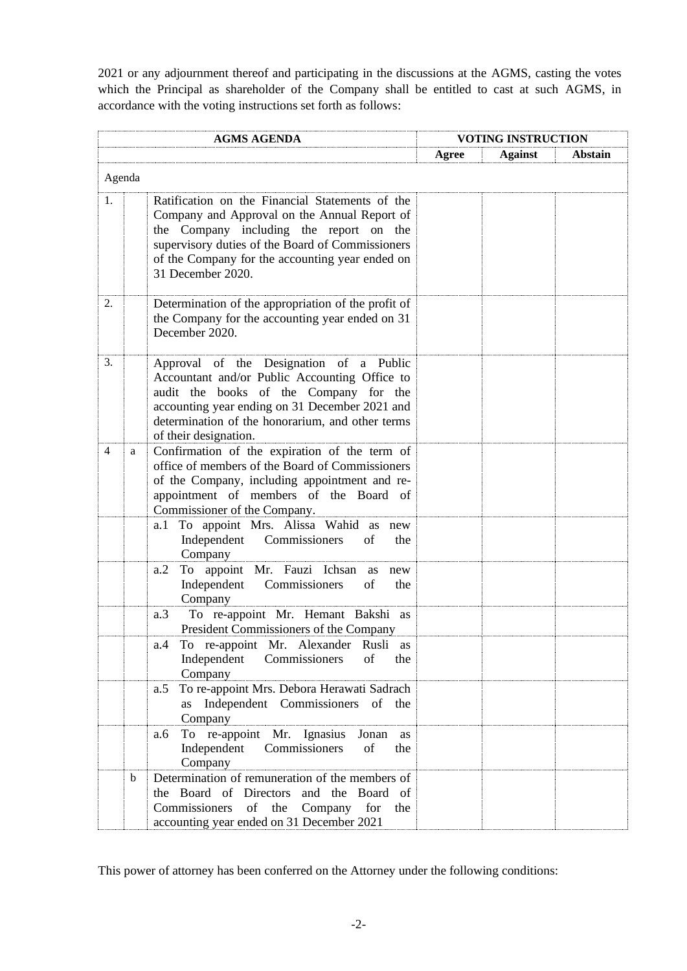2021 or any adjournment thereof and participating in the discussions at the AGMS, casting the votes which the Principal as shareholder of the Company shall be entitled to cast at such AGMS, in accordance with the voting instructions set forth as follows:

|    |        | <b>AGMS AGENDA</b>                                                                                                                                                                                                                                                     | <b>VOTING INSTRUCTION</b> |                |                |
|----|--------|------------------------------------------------------------------------------------------------------------------------------------------------------------------------------------------------------------------------------------------------------------------------|---------------------------|----------------|----------------|
|    |        |                                                                                                                                                                                                                                                                        | Agree                     | <b>Against</b> | <b>Abstain</b> |
|    | Agenda |                                                                                                                                                                                                                                                                        |                           |                |                |
| 1. |        | Ratification on the Financial Statements of the<br>Company and Approval on the Annual Report of<br>the Company including the report on the<br>supervisory duties of the Board of Commissioners<br>of the Company for the accounting year ended on<br>31 December 2020. |                           |                |                |
| 2. |        | Determination of the appropriation of the profit of<br>the Company for the accounting year ended on 31<br>December 2020.                                                                                                                                               |                           |                |                |
| 3. |        | Approval of the Designation of a Public<br>Accountant and/or Public Accounting Office to<br>audit the books of the Company for the<br>accounting year ending on 31 December 2021 and<br>determination of the honorarium, and other terms<br>of their designation.      |                           |                |                |
| 4  | a      | Confirmation of the expiration of the term of<br>office of members of the Board of Commissioners<br>of the Company, including appointment and re-<br>appointment of members of the Board of<br>Commissioner of the Company.                                            |                           |                |                |
|    |        | To appoint Mrs. Alissa Wahid as new<br>a. 1<br>Independent Commissioners<br>of<br>the<br>Company                                                                                                                                                                       |                           |                |                |
|    |        | a.2<br>To appoint Mr. Fauzi Ichsan<br>as<br>new<br>Independent Commissioners<br>of<br>the<br>Company                                                                                                                                                                   |                           |                |                |
|    |        | To re-appoint Mr. Hemant Bakshi as<br>a.3<br>President Commissioners of the Company                                                                                                                                                                                    |                           |                |                |
|    |        | To re-appoint Mr. Alexander Rusli as<br>a.4<br>Independent Commissioners<br>of<br>the<br>Company                                                                                                                                                                       |                           |                |                |
|    |        | To re-appoint Mrs. Debora Herawati Sadrach<br>a.5<br>as Independent Commissioners of the<br>Company                                                                                                                                                                    |                           |                |                |
|    |        | To re-appoint Mr. Ignasius<br>Jonan<br>as<br>a.6<br>Independent Commissioners<br>of<br>the<br>Company                                                                                                                                                                  |                           |                |                |
|    | b      | Determination of remuneration of the members of<br>the Board of Directors and the Board of<br>Commissioners of the Company<br>for<br>the<br>accounting year ended on 31 December 2021                                                                                  |                           |                |                |

This power of attorney has been conferred on the Attorney under the following conditions: